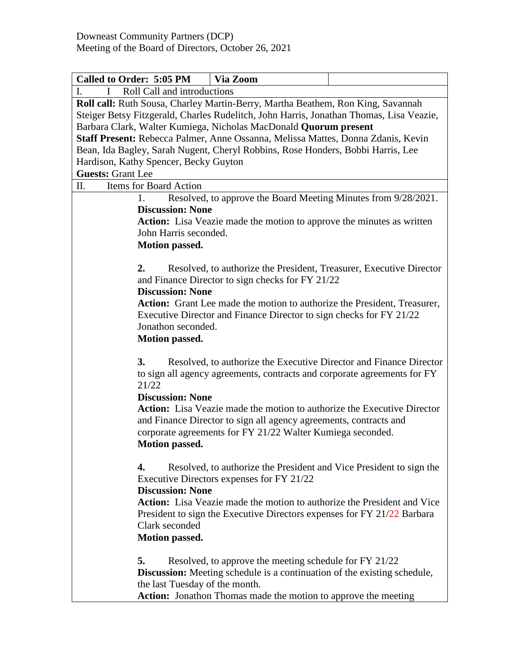| <b>Called to Order: 5:05 PM</b>                                                                                   |                             | Via Zoom                                                                        |  |  |  |
|-------------------------------------------------------------------------------------------------------------------|-----------------------------|---------------------------------------------------------------------------------|--|--|--|
| I.<br>L                                                                                                           | Roll Call and introductions |                                                                                 |  |  |  |
| Roll call: Ruth Sousa, Charley Martin-Berry, Martha Beathem, Ron King, Savannah                                   |                             |                                                                                 |  |  |  |
| Steiger Betsy Fitzgerald, Charles Rudelitch, John Harris, Jonathan Thomas, Lisa Veazie,                           |                             |                                                                                 |  |  |  |
| Barbara Clark, Walter Kumiega, Nicholas MacDonald Quorum present                                                  |                             |                                                                                 |  |  |  |
| Staff Present: Rebecca Palmer, Anne Ossanna, Melissa Mattes, Donna Zdanis, Kevin                                  |                             |                                                                                 |  |  |  |
| Bean, Ida Bagley, Sarah Nugent, Cheryl Robbins, Rose Honders, Bobbi Harris, Lee                                   |                             |                                                                                 |  |  |  |
| Hardison, Kathy Spencer, Becky Guyton                                                                             |                             |                                                                                 |  |  |  |
| <b>Guests: Grant Lee</b>                                                                                          |                             |                                                                                 |  |  |  |
| Π.<br>Items for Board Action                                                                                      |                             |                                                                                 |  |  |  |
| 1.                                                                                                                |                             | Resolved, to approve the Board Meeting Minutes from 9/28/2021.                  |  |  |  |
| <b>Discussion: None</b>                                                                                           |                             |                                                                                 |  |  |  |
| <b>Action:</b> Lisa Veazie made the motion to approve the minutes as written                                      |                             |                                                                                 |  |  |  |
| John Harris seconded.                                                                                             |                             |                                                                                 |  |  |  |
|                                                                                                                   | <b>Motion passed.</b>       |                                                                                 |  |  |  |
|                                                                                                                   |                             |                                                                                 |  |  |  |
| 2.                                                                                                                |                             | Resolved, to authorize the President, Treasurer, Executive Director             |  |  |  |
|                                                                                                                   |                             | and Finance Director to sign checks for FY 21/22                                |  |  |  |
|                                                                                                                   | <b>Discussion: None</b>     |                                                                                 |  |  |  |
|                                                                                                                   |                             | <b>Action:</b> Grant Lee made the motion to authorize the President, Treasurer, |  |  |  |
|                                                                                                                   |                             | Executive Director and Finance Director to sign checks for FY 21/22             |  |  |  |
|                                                                                                                   | Jonathon seconded.          |                                                                                 |  |  |  |
|                                                                                                                   | <b>Motion passed.</b>       |                                                                                 |  |  |  |
|                                                                                                                   |                             |                                                                                 |  |  |  |
| 3.                                                                                                                |                             | Resolved, to authorize the Executive Director and Finance Director              |  |  |  |
| to sign all agency agreements, contracts and corporate agreements for FY                                          |                             |                                                                                 |  |  |  |
| 21/22                                                                                                             |                             |                                                                                 |  |  |  |
| <b>Discussion: None</b>                                                                                           |                             |                                                                                 |  |  |  |
| <b>Action:</b> Lisa Veazie made the motion to authorize the Executive Director                                    |                             |                                                                                 |  |  |  |
| and Finance Director to sign all agency agreements, contracts and                                                 |                             |                                                                                 |  |  |  |
| corporate agreements for FY 21/22 Walter Kumiega seconded.                                                        |                             |                                                                                 |  |  |  |
| <b>Motion passed.</b>                                                                                             |                             |                                                                                 |  |  |  |
|                                                                                                                   |                             |                                                                                 |  |  |  |
| 4.                                                                                                                |                             | Resolved, to authorize the President and Vice President to sign the             |  |  |  |
|                                                                                                                   |                             |                                                                                 |  |  |  |
| Executive Directors expenses for FY 21/22<br><b>Discussion: None</b>                                              |                             |                                                                                 |  |  |  |
| Action: Lisa Veazie made the motion to authorize the President and Vice                                           |                             |                                                                                 |  |  |  |
| President to sign the Executive Directors expenses for FY 21/22 Barbara                                           |                             |                                                                                 |  |  |  |
| Clark seconded                                                                                                    |                             |                                                                                 |  |  |  |
|                                                                                                                   |                             |                                                                                 |  |  |  |
| <b>Motion passed.</b>                                                                                             |                             |                                                                                 |  |  |  |
| 5.                                                                                                                |                             |                                                                                 |  |  |  |
| Resolved, to approve the meeting schedule for FY 21/22                                                            |                             |                                                                                 |  |  |  |
| <b>Discussion:</b> Meeting schedule is a continuation of the existing schedule,<br>the last Tuesday of the month. |                             |                                                                                 |  |  |  |
| <b>Action:</b> Jonathon Thomas made the motion to approve the meeting                                             |                             |                                                                                 |  |  |  |
|                                                                                                                   |                             |                                                                                 |  |  |  |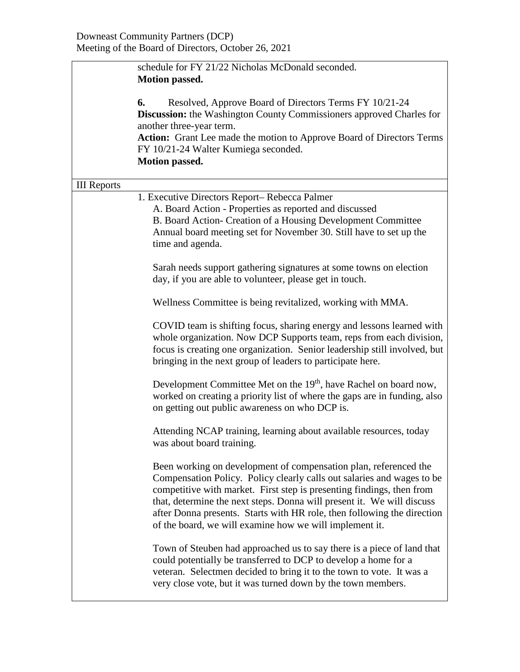|                    | schedule for FY 21/22 Nicholas McDonald seconded.<br><b>Motion passed.</b>                                                                                                                                                                                                                                                                                                                                                          |
|--------------------|-------------------------------------------------------------------------------------------------------------------------------------------------------------------------------------------------------------------------------------------------------------------------------------------------------------------------------------------------------------------------------------------------------------------------------------|
|                    | 6.<br>Resolved, Approve Board of Directors Terms FY 10/21-24<br><b>Discussion:</b> the Washington County Commissioners approved Charles for<br>another three-year term.<br>Action: Grant Lee made the motion to Approve Board of Directors Terms<br>FY 10/21-24 Walter Kumiega seconded.<br>Motion passed.                                                                                                                          |
| <b>III</b> Reports |                                                                                                                                                                                                                                                                                                                                                                                                                                     |
|                    | 1. Executive Directors Report-Rebecca Palmer<br>A. Board Action - Properties as reported and discussed<br>B. Board Action- Creation of a Housing Development Committee<br>Annual board meeting set for November 30. Still have to set up the<br>time and agenda.                                                                                                                                                                    |
|                    | Sarah needs support gathering signatures at some towns on election<br>day, if you are able to volunteer, please get in touch.                                                                                                                                                                                                                                                                                                       |
|                    | Wellness Committee is being revitalized, working with MMA.                                                                                                                                                                                                                                                                                                                                                                          |
|                    | COVID team is shifting focus, sharing energy and lessons learned with<br>whole organization. Now DCP Supports team, reps from each division,<br>focus is creating one organization. Senior leadership still involved, but<br>bringing in the next group of leaders to participate here.                                                                                                                                             |
|                    | Development Committee Met on the 19 <sup>th</sup> , have Rachel on board now,<br>worked on creating a priority list of where the gaps are in funding, also<br>on getting out public awareness on who DCP is.                                                                                                                                                                                                                        |
|                    | Attending NCAP training, learning about available resources, today<br>was about board training.                                                                                                                                                                                                                                                                                                                                     |
|                    | Been working on development of compensation plan, referenced the<br>Compensation Policy. Policy clearly calls out salaries and wages to be<br>competitive with market. First step is presenting findings, then from<br>that, determine the next steps. Donna will present it. We will discuss<br>after Donna presents. Starts with HR role, then following the direction<br>of the board, we will examine how we will implement it. |
|                    | Town of Steuben had approached us to say there is a piece of land that<br>could potentially be transferred to DCP to develop a home for a<br>veteran. Selectmen decided to bring it to the town to vote. It was a<br>very close vote, but it was turned down by the town members.                                                                                                                                                   |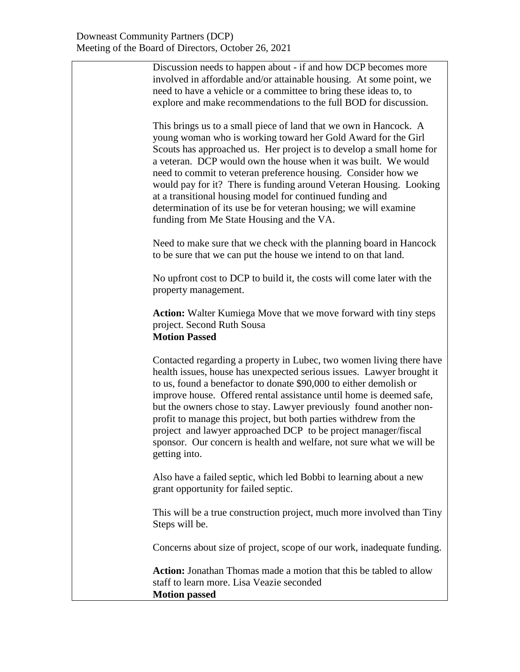Discussion needs to happen about - if and how DCP becomes more involved in affordable and/or attainable housing. At some point, we need to have a vehicle or a committee to bring these ideas to, to explore and make recommendations to the full BOD for discussion.

This brings us to a small piece of land that we own in Hancock. A young woman who is working toward her Gold Award for the Girl Scouts has approached us. Her project is to develop a small home for a veteran. DCP would own the house when it was built. We would need to commit to veteran preference housing. Consider how we would pay for it? There is funding around Veteran Housing. Looking at a transitional housing model for continued funding and determination of its use be for veteran housing; we will examine funding from Me State Housing and the VA.

Need to make sure that we check with the planning board in Hancock to be sure that we can put the house we intend to on that land.

No upfront cost to DCP to build it, the costs will come later with the property management.

**Action:** Walter Kumiega Move that we move forward with tiny steps project. Second Ruth Sousa **Motion Passed**

Contacted regarding a property in Lubec, two women living there have health issues, house has unexpected serious issues. Lawyer brought it to us, found a benefactor to donate \$90,000 to either demolish or improve house. Offered rental assistance until home is deemed safe, but the owners chose to stay. Lawyer previously found another nonprofit to manage this project, but both parties withdrew from the project and lawyer approached DCP to be project manager/fiscal sponsor. Our concern is health and welfare, not sure what we will be getting into.

Also have a failed septic, which led Bobbi to learning about a new grant opportunity for failed septic.

This will be a true construction project, much more involved than Tiny Steps will be.

Concerns about size of project, scope of our work, inadequate funding.

**Action:** Jonathan Thomas made a motion that this be tabled to allow staff to learn more. Lisa Veazie seconded **Motion passed**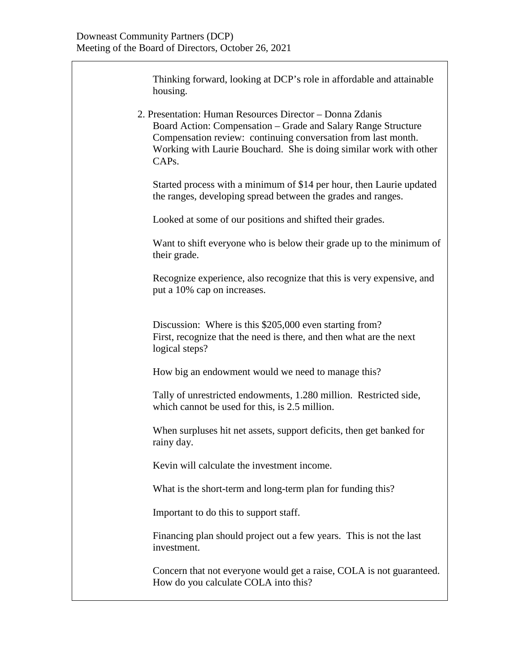Thinking forward, looking at DCP's role in affordable and attainable housing.

2. Presentation: Human Resources Director – Donna Zdanis Board Action: Compensation – Grade and Salary Range Structure Compensation review: continuing conversation from last month. Working with Laurie Bouchard. She is doing similar work with other CAPs.

Started process with a minimum of \$14 per hour, then Laurie updated the ranges, developing spread between the grades and ranges.

Looked at some of our positions and shifted their grades.

Want to shift everyone who is below their grade up to the minimum of their grade.

Recognize experience, also recognize that this is very expensive, and put a 10% cap on increases.

Discussion: Where is this \$205,000 even starting from? First, recognize that the need is there, and then what are the next logical steps?

How big an endowment would we need to manage this?

Tally of unrestricted endowments, 1.280 million. Restricted side, which cannot be used for this, is 2.5 million.

When surpluses hit net assets, support deficits, then get banked for rainy day.

Kevin will calculate the investment income.

What is the short-term and long-term plan for funding this?

Important to do this to support staff.

Financing plan should project out a few years. This is not the last investment.

Concern that not everyone would get a raise, COLA is not guaranteed. How do you calculate COLA into this?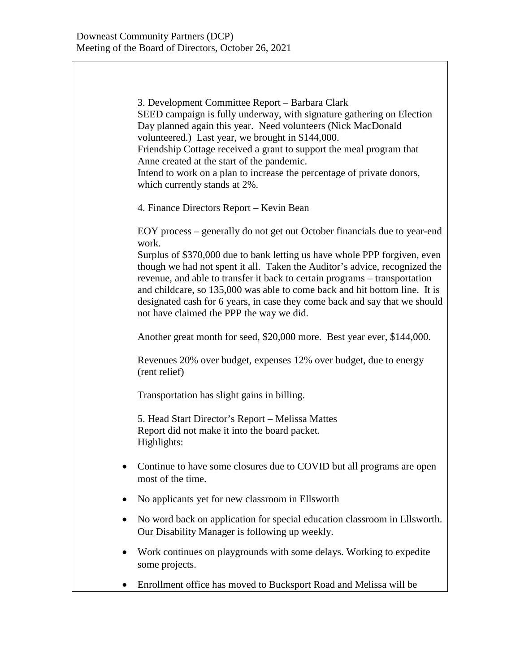3. Development Committee Report – Barbara Clark SEED campaign is fully underway, with signature gathering on Election Day planned again this year. Need volunteers (Nick MacDonald volunteered.) Last year, we brought in \$144,000. Friendship Cottage received a grant to support the meal program that Anne created at the start of the pandemic. Intend to work on a plan to increase the percentage of private donors, which currently stands at 2%. 4. Finance Directors Report – Kevin Bean EOY process – generally do not get out October financials due to year-end work. Surplus of \$370,000 due to bank letting us have whole PPP forgiven, even though we had not spent it all. Taken the Auditor's advice, recognized the revenue, and able to transfer it back to certain programs – transportation and childcare, so 135,000 was able to come back and hit bottom line. It is designated cash for 6 years, in case they come back and say that we should not have claimed the PPP the way we did. Another great month for seed, \$20,000 more. Best year ever, \$144,000. Revenues 20% over budget, expenses 12% over budget, due to energy (rent relief) Transportation has slight gains in billing. 5. Head Start Director's Report – Melissa Mattes Report did not make it into the board packet. Highlights: • Continue to have some closures due to COVID but all programs are open most of the time. • No applicants yet for new classroom in Ellsworth • No word back on application for special education classroom in Ellsworth. Our Disability Manager is following up weekly. • Work continues on playgrounds with some delays. Working to expedite some projects.

• Enrollment office has moved to Bucksport Road and Melissa will be